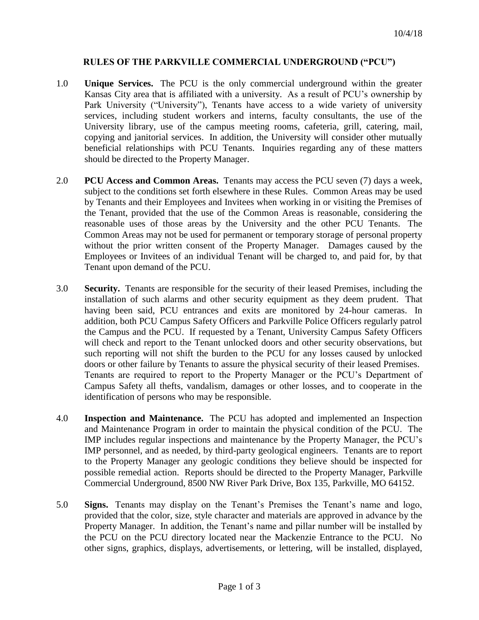## **RULES OF THE PARKVILLE COMMERCIAL UNDERGROUND ("PCU")**

- 1.0 **Unique Services.** The PCU is the only commercial underground within the greater Kansas City area that is affiliated with a university. As a result of PCU's ownership by Park University ("University"), Tenants have access to a wide variety of university services, including student workers and interns, faculty consultants, the use of the University library, use of the campus meeting rooms, cafeteria, grill, catering, mail, copying and janitorial services. In addition, the University will consider other mutually beneficial relationships with PCU Tenants. Inquiries regarding any of these matters should be directed to the Property Manager.
- 2.0 **PCU Access and Common Areas.** Tenants may access the PCU seven (7) days a week, subject to the conditions set forth elsewhere in these Rules. Common Areas may be used by Tenants and their Employees and Invitees when working in or visiting the Premises of the Tenant, provided that the use of the Common Areas is reasonable, considering the reasonable uses of those areas by the University and the other PCU Tenants. The Common Areas may not be used for permanent or temporary storage of personal property without the prior written consent of the Property Manager. Damages caused by the Employees or Invitees of an individual Tenant will be charged to, and paid for, by that Tenant upon demand of the PCU.
- 3.0 **Security.** Tenants are responsible for the security of their leased Premises, including the installation of such alarms and other security equipment as they deem prudent. That having been said, PCU entrances and exits are monitored by 24-hour cameras. In addition, both PCU Campus Safety Officers and Parkville Police Officers regularly patrol the Campus and the PCU. If requested by a Tenant, University Campus Safety Officers will check and report to the Tenant unlocked doors and other security observations, but such reporting will not shift the burden to the PCU for any losses caused by unlocked doors or other failure by Tenants to assure the physical security of their leased Premises. Tenants are required to report to the Property Manager or the PCU's Department of Campus Safety all thefts, vandalism, damages or other losses, and to cooperate in the identification of persons who may be responsible.
- 4.0 **Inspection and Maintenance.** The PCU has adopted and implemented an Inspection and Maintenance Program in order to maintain the physical condition of the PCU. The IMP includes regular inspections and maintenance by the Property Manager, the PCU's IMP personnel, and as needed, by third-party geological engineers. Tenants are to report to the Property Manager any geologic conditions they believe should be inspected for possible remedial action. Reports should be directed to the Property Manager, Parkville Commercial Underground, 8500 NW River Park Drive, Box 135, Parkville, MO 64152.
- 5.0 **Signs.** Tenants may display on the Tenant's Premises the Tenant's name and logo, provided that the color, size, style character and materials are approved in advance by the Property Manager. In addition, the Tenant's name and pillar number will be installed by the PCU on the PCU directory located near the Mackenzie Entrance to the PCU. No other signs, graphics, displays, advertisements, or lettering, will be installed, displayed,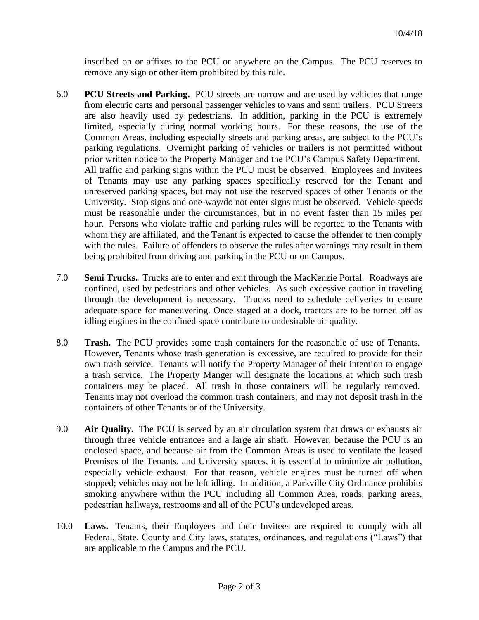inscribed on or affixes to the PCU or anywhere on the Campus. The PCU reserves to remove any sign or other item prohibited by this rule.

- 6.0 **PCU Streets and Parking.** PCU streets are narrow and are used by vehicles that range from electric carts and personal passenger vehicles to vans and semi trailers. PCU Streets are also heavily used by pedestrians. In addition, parking in the PCU is extremely limited, especially during normal working hours. For these reasons, the use of the Common Areas, including especially streets and parking areas, are subject to the PCU's parking regulations. Overnight parking of vehicles or trailers is not permitted without prior written notice to the Property Manager and the PCU's Campus Safety Department. All traffic and parking signs within the PCU must be observed. Employees and Invitees of Tenants may use any parking spaces specifically reserved for the Tenant and unreserved parking spaces, but may not use the reserved spaces of other Tenants or the University. Stop signs and one-way/do not enter signs must be observed. Vehicle speeds must be reasonable under the circumstances, but in no event faster than 15 miles per hour. Persons who violate traffic and parking rules will be reported to the Tenants with whom they are affiliated, and the Tenant is expected to cause the offender to then comply with the rules. Failure of offenders to observe the rules after warnings may result in them being prohibited from driving and parking in the PCU or on Campus.
- 7.0 **Semi Trucks.** Trucks are to enter and exit through the MacKenzie Portal. Roadways are confined, used by pedestrians and other vehicles. As such excessive caution in traveling through the development is necessary. Trucks need to schedule deliveries to ensure adequate space for maneuvering. Once staged at a dock, tractors are to be turned off as idling engines in the confined space contribute to undesirable air quality.
- 8.0 **Trash.** The PCU provides some trash containers for the reasonable of use of Tenants. However, Tenants whose trash generation is excessive, are required to provide for their own trash service. Tenants will notify the Property Manager of their intention to engage a trash service. The Property Manger will designate the locations at which such trash containers may be placed. All trash in those containers will be regularly removed. Tenants may not overload the common trash containers, and may not deposit trash in the containers of other Tenants or of the University.
- 9.0 **Air Quality.** The PCU is served by an air circulation system that draws or exhausts air through three vehicle entrances and a large air shaft. However, because the PCU is an enclosed space, and because air from the Common Areas is used to ventilate the leased Premises of the Tenants, and University spaces, it is essential to minimize air pollution, especially vehicle exhaust. For that reason, vehicle engines must be turned off when stopped; vehicles may not be left idling. In addition, a Parkville City Ordinance prohibits smoking anywhere within the PCU including all Common Area, roads, parking areas, pedestrian hallways, restrooms and all of the PCU's undeveloped areas.
- 10.0 **Laws.** Tenants, their Employees and their Invitees are required to comply with all Federal, State, County and City laws, statutes, ordinances, and regulations ("Laws") that are applicable to the Campus and the PCU.